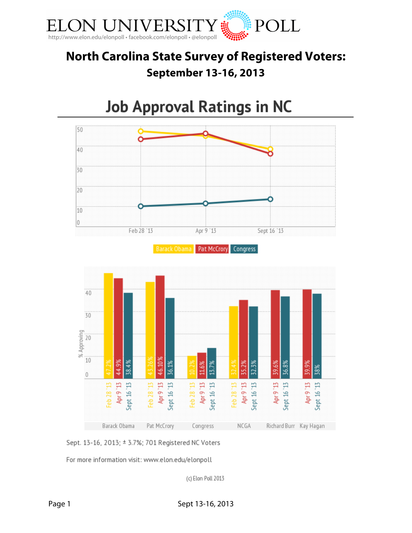

# **North Carolina State Survey of Registered Voters: September 13-16, 2013**

# **Job Approval Ratings in NC**





For more information visit: www.elon.edu/elonpoll

(c) Elon Poll 2013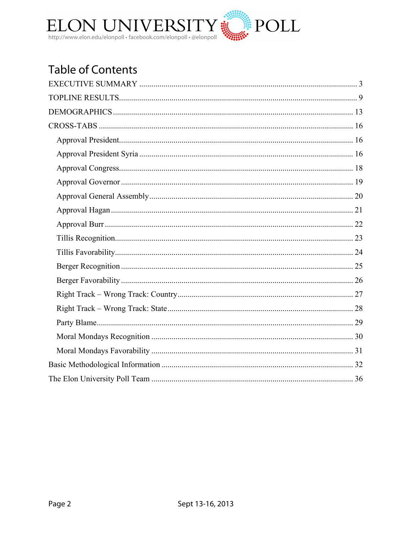

# **Table of Contents**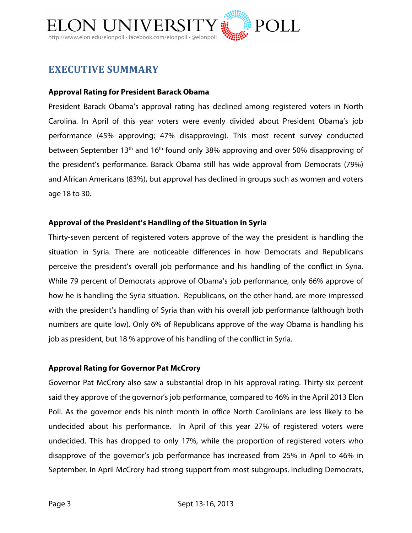

# **EXECUTIVE SUMMARY**

#### **Approval Rating for President Barack Obama**

President Barack Obama's approval rating has declined among registered voters in North Carolina. In April of this year voters were evenly divided about President Obama's job performance (45% approving; 47% disapproving). This most recent survey conducted between September 13<sup>th</sup> and 16<sup>th</sup> found only 38% approving and over 50% disapproving of the president's performance. Barack Obama still has wide approval from Democrats (79%) and African Americans (83%), but approval has declined in groups such as women and voters age 18 to 30.

#### **Approval of the President's Handling of the Situation in Syria**

Thirty-seven percent of registered voters approve of the way the president is handling the situation in Syria. There are noticeable differences in how Democrats and Republicans perceive the president's overall job performance and his handling of the conflict in Syria. While 79 percent of Democrats approve of Obama's job performance, only 66% approve of how he is handling the Syria situation. Republicans, on the other hand, are more impressed with the president's handling of Syria than with his overall job performance (although both numbers are quite low). Only 6% of Republicans approve of the way Obama is handling his job as president, but 18 % approve of his handling of the conflict in Syria.

#### **Approval Rating for Governor Pat McCrory**

Governor Pat McCrory also saw a substantial drop in his approval rating. Thirty-six percent said they approve of the governor's job performance, compared to 46% in the April 2013 Elon Poll. As the governor ends his ninth month in office North Carolinians are less likely to be undecided about his performance. In April of this year 27% of registered voters were undecided. This has dropped to only 17%, while the proportion of registered voters who disapprove of the governor's job performance has increased from 25% in April to 46% in September. In April McCrory had strong support from most subgroups, including Democrats,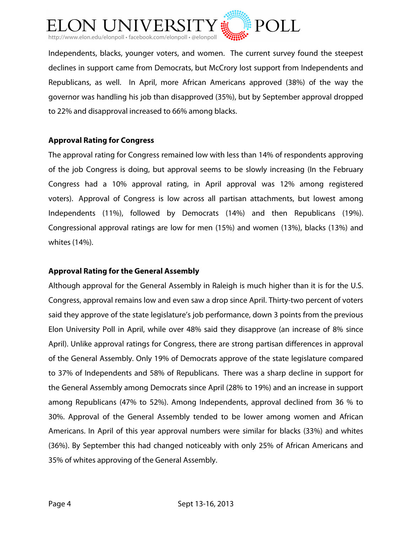

Independents, blacks, younger voters, and women. The current survey found the steepest declines in support came from Democrats, but McCrory lost support from Independents and Republicans, as well. In April, more African Americans approved (38%) of the way the governor was handling his job than disapproved (35%), but by September approval dropped to 22% and disapproval increased to 66% among blacks.

#### **Approval Rating for Congress**

The approval rating for Congress remained low with less than 14% of respondents approving of the job Congress is doing, but approval seems to be slowly increasing (In the February Congress had a 10% approval rating, in April approval was 12% among registered voters). Approval of Congress is low across all partisan attachments, but lowest among Independents (11%), followed by Democrats (14%) and then Republicans (19%). Congressional approval ratings are low for men (15%) and women (13%), blacks (13%) and whites (14%).

#### **Approval Rating for the General Assembly**

Although approval for the General Assembly in Raleigh is much higher than it is for the U.S. Congress, approval remains low and even saw a drop since April. Thirty-two percent of voters said they approve of the state legislature's job performance, down 3 points from the previous Elon University Poll in April, while over 48% said they disapprove (an increase of 8% since April). Unlike approval ratings for Congress, there are strong partisan differences in approval of the General Assembly. Only 19% of Democrats approve of the state legislature compared to 37% of Independents and 58% of Republicans. There was a sharp decline in support for the General Assembly among Democrats since April (28% to 19%) and an increase in support among Republicans (47% to 52%). Among Independents, approval declined from 36 % to 30%. Approval of the General Assembly tended to be lower among women and African Americans. In April of this year approval numbers were similar for blacks (33%) and whites (36%). By September this had changed noticeably with only 25% of African Americans and 35% of whites approving of the General Assembly.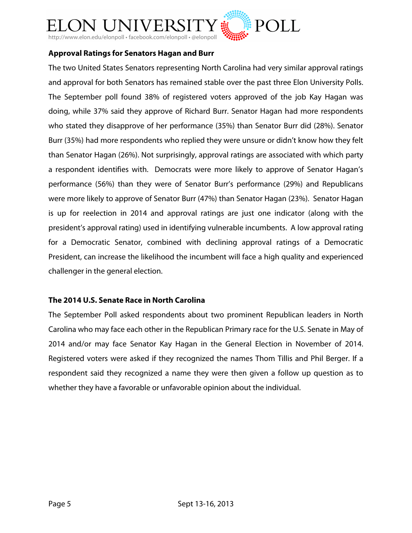

#### **Approval Ratings for Senators Hagan and Burr**

The two United States Senators representing North Carolina had very similar approval ratings and approval for both Senators has remained stable over the past three Elon University Polls. The September poll found 38% of registered voters approved of the job Kay Hagan was doing, while 37% said they approve of Richard Burr. Senator Hagan had more respondents who stated they disapprove of her performance (35%) than Senator Burr did (28%). Senator Burr (35%) had more respondents who replied they were unsure or didn't know how they felt than Senator Hagan (26%). Not surprisingly, approval ratings are associated with which party a respondent identifies with. Democrats were more likely to approve of Senator Hagan's performance (56%) than they were of Senator Burr's performance (29%) and Republicans were more likely to approve of Senator Burr (47%) than Senator Hagan (23%). Senator Hagan is up for reelection in 2014 and approval ratings are just one indicator (along with the president's approval rating) used in identifying vulnerable incumbents. A low approval rating for a Democratic Senator, combined with declining approval ratings of a Democratic President, can increase the likelihood the incumbent will face a high quality and experienced challenger in the general election.

#### **The 2014 U.S. Senate Race in North Carolina**

The September Poll asked respondents about two prominent Republican leaders in North Carolina who may face each other in the Republican Primary race for the U.S. Senate in May of 2014 and/or may face Senator Kay Hagan in the General Election in November of 2014. Registered voters were asked if they recognized the names Thom Tillis and Phil Berger. If a respondent said they recognized a name they were then given a follow up question as to whether they have a favorable or unfavorable opinion about the individual.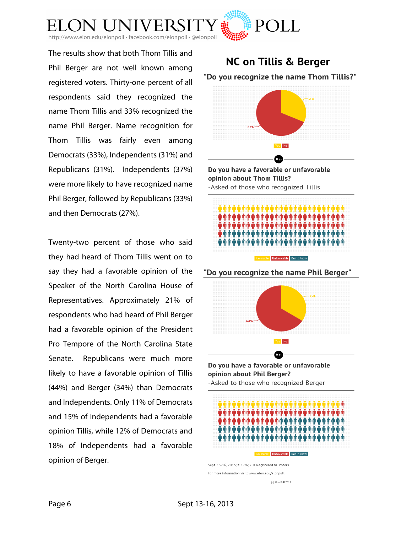

The results show that both Thom Tillis and Phil Berger are not well known among registered voters. Thirty-one percent of all respondents said they recognized the name Thom Tillis and 33% recognized the name Phil Berger. Name recognition for Thom Tillis was fairly even among Democrats (33%), Independents (31%) and Republicans (31%). Independents (37%) were more likely to have recognized name Phil Berger, followed by Republicans (33%) and then Democrats (27%).

Twenty-two percent of those who said they had heard of Thom Tillis went on to say they had a favorable opinion of the Speaker of the North Carolina House of Representatives. Approximately 21% of respondents who had heard of Phil Berger had a favorable opinion of the President Pro Tempore of the North Carolina State Senate. Republicans were much more likely to have a favorable opinion of Tillis (44%) and Berger (34%) than Democrats and Independents. Only 11% of Democrats and 15% of Independents had a favorable opinion Tillis, while 12% of Democrats and 18% of Independents had a favorable opinion of Berger.

# **NC on Tillis & Berger** "Do you recognize the name Thom Tillis?"







"Do you recognize the name Phil Berger"



Do you have a favorable or unfavorable opinion about Phil Berger? -Asked to those who recognized Berger



(c) Elon Poll 2013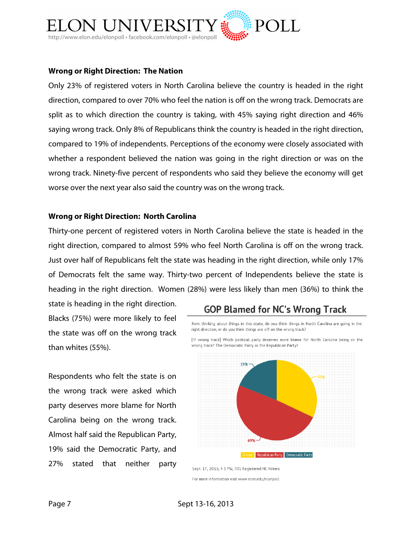

#### **Wrong or Right Direction: The Nation**

Only 23% of registered voters in North Carolina believe the country is headed in the right direction, compared to over 70% who feel the nation is off on the wrong track. Democrats are split as to which direction the country is taking, with 45% saying right direction and 46% saying wrong track. Only 8% of Republicans think the country is headed in the right direction, compared to 19% of independents. Perceptions of the economy were closely associated with whether a respondent believed the nation was going in the right direction or was on the wrong track. Ninety-five percent of respondents who said they believe the economy will get worse over the next year also said the country was on the wrong track.

#### **Wrong or Right Direction: North Carolina**

Thirty-one percent of registered voters in North Carolina believe the state is headed in the right direction, compared to almost 59% who feel North Carolina is off on the wrong track. Just over half of Republicans felt the state was heading in the right direction, while only 17% of Democrats felt the same way. Thirty-two percent of Independents believe the state is heading in the right direction. Women (28%) were less likely than men (36%) to think the

state is heading in the right direction. Blacks (75%) were more likely to feel the state was off on the wrong track than whites (55%).

Respondents who felt the state is on the wrong track were asked which party deserves more blame for North Carolina being on the wrong track. Almost half said the Republican Party, 19% said the Democratic Party, and 27% stated that neither party

# **GOP Blamed for NC's Wrong Track**

Now, thinking about things in this state, do you think things in North Carolina are going in the right direction, or do you think things are off on the wrong track?

[If wrong track] Which political party deserves more blame for North Carolina being on the wrong track? The Democratic Party or the Republican Party?



Sept. 17, 2013; ± 3.7%; 701 Registered NC Voters For more information visit www.elon.edu/elonpoll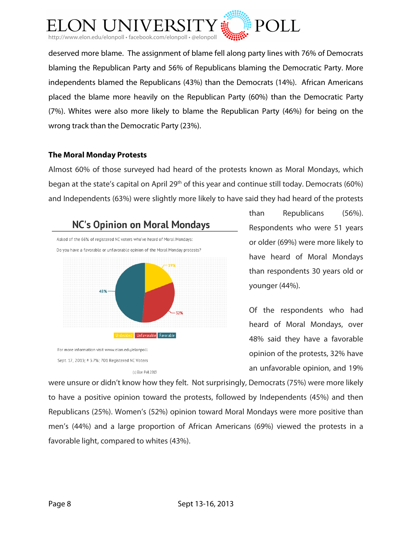

deserved more blame. The assignment of blame fell along party lines with 76% of Democrats blaming the Republican Party and 56% of Republicans blaming the Democratic Party. More independents blamed the Republicans (43%) than the Democrats (14%). African Americans placed the blame more heavily on the Republican Party (60%) than the Democratic Party (7%). Whites were also more likely to blame the Republican Party (46%) for being on the wrong track than the Democratic Party (23%).

#### **The Moral Monday Protests**

Almost 60% of those surveyed had heard of the protests known as Moral Mondays, which began at the state's capital on April 29<sup>th</sup> of this year and continue still today. Democrats (60%) and Independents (63%) were slightly more likely to have said they had heard of the protests



(c) Elon Poll 2013

than Republicans (56%). Respondents who were 51 years or older (69%) were more likely to have heard of Moral Mondays than respondents 30 years old or younger (44%).

Of the respondents who had heard of Moral Mondays, over 48% said they have a favorable opinion of the protests, 32% have an unfavorable opinion, and 19%

were unsure or didn't know how they felt. Not surprisingly, Democrats (75%) were more likely to have a positive opinion toward the protests, followed by Independents (45%) and then Republicans (25%). Women's (52%) opinion toward Moral Mondays were more positive than men's (44%) and a large proportion of African Americans (69%) viewed the protests in a favorable light, compared to whites (43%).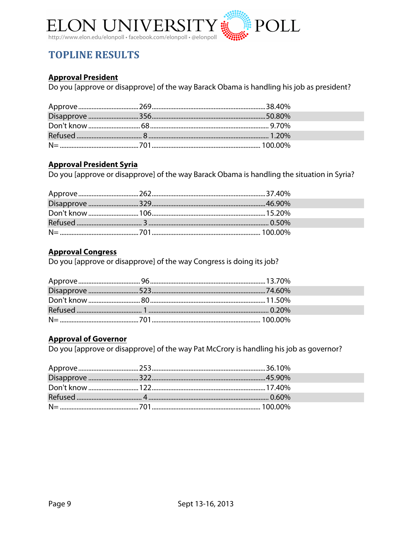

# **TOPLINE RESULTS**

#### **Approval President**

Do you [approve or disapprove] of the way Barack Obama is handling his job as president?

#### **Approval President Syria**

Do you [approve or disapprove] of the way Barack Obama is handling the situation in Syria?

#### **Approval Congress**

Do you [approve or disapprove] of the way Congress is doing its job?

#### **Approval of Governor**

Do you [approve or disapprove] of the way Pat McCrory is handling his job as governor?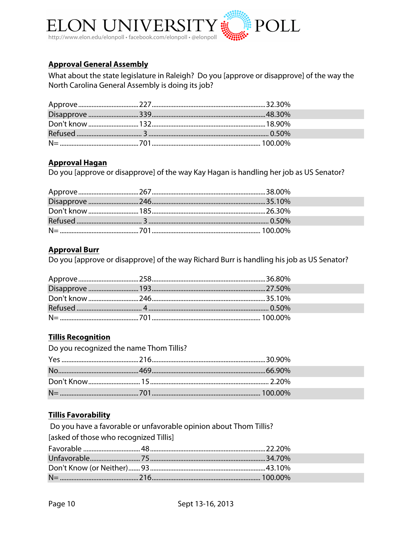

#### **Approval General Assembly**

What about the state legislature in Raleigh? Do you [approve or disapprove] of the way the North Carolina General Assembly is doing its job?

#### **Approval Hagan**

Do you [approve or disapprove] of the way Kay Hagan is handling her job as US Senator?

#### **Approval Burr**

Do you [approve or disapprove] of the way Richard Burr is handling his job as US Senator?

#### **Tillis Recognition**

| Do you recognized the name Thom Tillis? |  |  |
|-----------------------------------------|--|--|
|                                         |  |  |
|                                         |  |  |
|                                         |  |  |
|                                         |  |  |

#### **Tillis Favorability**

Do you have a favorable or unfavorable opinion about Thom Tillis? [asked of those who recognized Tillis]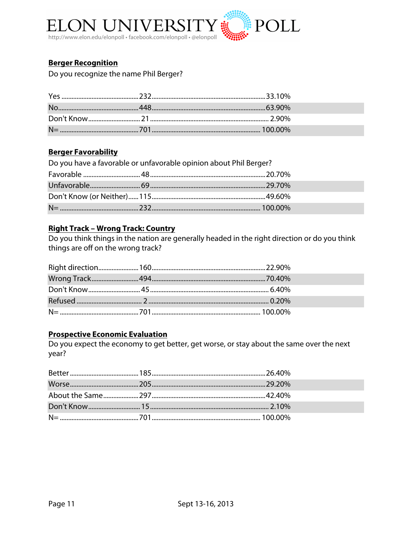

#### **Berger Recognition**

Do you recognize the name Phil Berger?

#### **Berger Favorability**

| Do you have a favorable or unfavorable opinion about Phil Berger? |  |
|-------------------------------------------------------------------|--|
|                                                                   |  |
|                                                                   |  |
|                                                                   |  |
|                                                                   |  |

#### **Right Track - Wrong Track: Country**

Do you think things in the nation are generally headed in the right direction or do you think things are off on the wrong track?

#### **Prospective Economic Evaluation**

Do you expect the economy to get better, get worse, or stay about the same over the next year?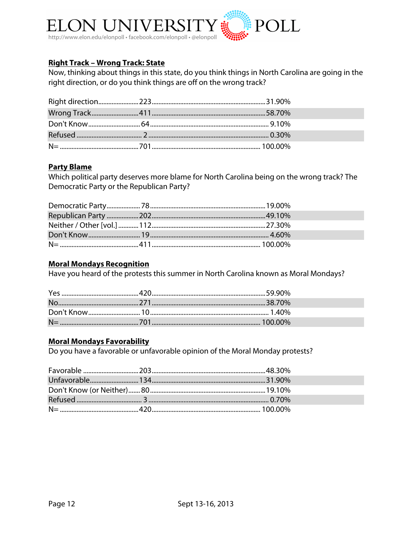

#### **Right Track - Wrong Track: State**

Now, thinking about things in this state, do you think things in North Carolina are going in the right direction, or do you think things are off on the wrong track?

#### **Party Blame**

Which political party deserves more blame for North Carolina being on the wrong track? The Democratic Party or the Republican Party?

#### **Moral Mondays Recognition**

Have you heard of the protests this summer in North Carolina known as Moral Mondays?

#### **Moral Mondays Favorability**

Do you have a favorable or unfavorable opinion of the Moral Monday protests?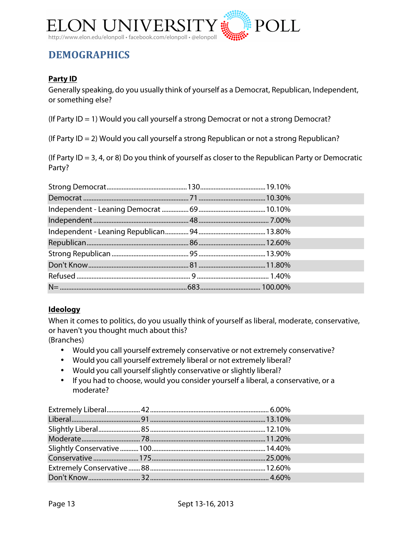

# **DEMOGRAPHICS**

#### **Party ID**

Generally speaking, do you usually think of yourself as a Democrat, Republican, Independent, or something else?

(If Party ID = 1) Would you call yourself a strong Democrat or not a strong Democrat?

(If Party ID = 2) Would you call yourself a strong Republican or not a strong Republican?

(If Party ID = 3, 4, or 8) Do you think of yourself as closer to the Republican Party or Democratic Party?

#### **Ideology**

When it comes to politics, do you usually think of yourself as liberal, moderate, conservative, or haven't you thought much about this? (Branches)

- Would you call yourself extremely conservative or not extremely conservative?
- Would you call yourself extremely liberal or not extremely liberal?
- Would you call yourselfslightly conservative or slightly liberal?
- If you had to choose, would you consider yourself a liberal, a conservative, or a moderate?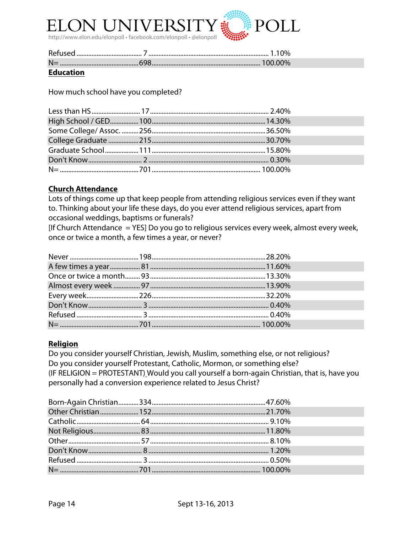

| <b>Refused</b> | $0\%$   |
|----------------|---------|
| $N=$           | 100.00% |

#### **Education**

How much school have you completed?

#### **Church Attendance**

Lots of things come up that keep people from attending religious services even if they want to. Thinking about your life these days, do you ever attend religious services, apart from occasional weddings, baptisms or funerals?

[If Church Attendance = YES] Do you go to religious services every week, almost every week, once or twice a month, a few times a year, or never?

#### **Religion**

Do you consider yourself Christian, Jewish, Muslim, something else, or not religious? Do you consider yourself Protestant, Catholic, Mormon, or something else? (IF RELIGION = PROTESTANT) Would you call yourself a born-again Christian, that is, have you personally had a conversion experience related to Jesus Christ?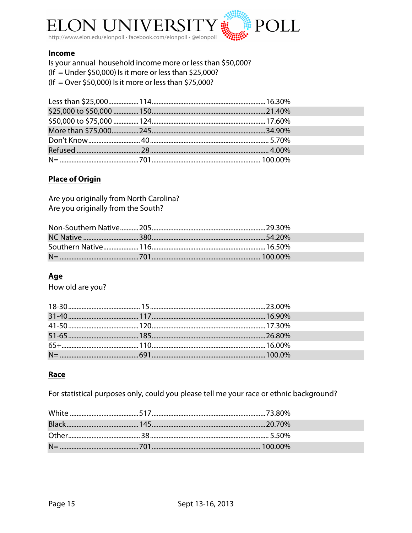

#### **Income**

Is your annual household income more or less than \$50,000?  $($ If = Under \$50,000) Is it more or less than \$25,000? (If = Over \$50,000) Is it more or less than \$75,000?

#### **Place of Origin**

Are you originally from North Carolina? Are you originally from the South?

#### Age

How old are you?

#### Race

For statistical purposes only, could you please tell me your race or ethnic background?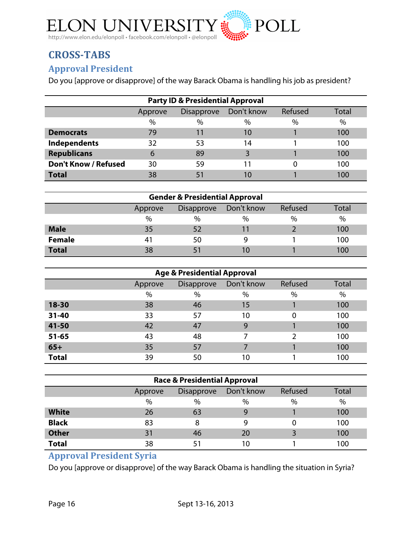

# **CROSS-TABS**

### **Approval!President**

Do you [approve or disapprove] of the way Barack Obama is handling his job as president?

| <b>Party ID &amp; Presidential Approval</b>                    |      |      |      |      |      |  |  |
|----------------------------------------------------------------|------|------|------|------|------|--|--|
| Don't know<br>Refused<br><b>Disapprove</b><br>Total<br>Approve |      |      |      |      |      |  |  |
|                                                                | $\%$ | $\%$ | $\%$ | $\%$ | $\%$ |  |  |
| <b>Democrats</b>                                               | 79   | 11   | 10   |      | 100  |  |  |
| Independents                                                   | 32   | 53   | 14   |      | 100  |  |  |
| <b>Republicans</b>                                             | 6    | 89   |      |      | 100  |  |  |
| <b>Don't Know / Refused</b>                                    | 30   | 59   | 11   |      | 100  |  |  |
| <b>Total</b>                                                   | 38   | 51   | 10   |      | 100  |  |  |

| <b>Gender &amp; Presidential Approval</b> |                                                                |      |      |      |      |  |  |
|-------------------------------------------|----------------------------------------------------------------|------|------|------|------|--|--|
|                                           | Refused<br>Don't know<br>Total<br><b>Disapprove</b><br>Approve |      |      |      |      |  |  |
|                                           | %                                                              | $\%$ | $\%$ | $\%$ | $\%$ |  |  |
| <b>Male</b>                               | 35                                                             | 52   | 11   |      | 100  |  |  |
| <b>Female</b>                             | 41                                                             | 50   | 9    |      | 100  |  |  |
| <b>Total</b>                              | 38                                                             |      | 10   |      | 100  |  |  |

| <b>Age &amp; Presidential Approval</b> |                                                       |    |      |          |     |  |
|----------------------------------------|-------------------------------------------------------|----|------|----------|-----|--|
|                                        | Don't know<br>Refused<br><b>Disapprove</b><br>Approve |    |      |          |     |  |
|                                        | %                                                     | %  | $\%$ | $\%$     | %   |  |
| 18-30                                  | 38                                                    | 46 | 15   |          | 100 |  |
| $31 - 40$                              | 33                                                    | 57 | 10   | $\Omega$ | 100 |  |
| 41-50                                  | 42                                                    | 47 | 9    |          | 100 |  |
| $51 - 65$                              | 43                                                    | 48 | 7    | າ        | 100 |  |
| $65+$                                  | 35                                                    | 57 |      |          | 100 |  |
| <b>Total</b>                           | 39                                                    | 50 | 10   |          | 100 |  |

| <b>Race &amp; Presidential Approval</b> |                                                                |      |      |      |     |  |  |
|-----------------------------------------|----------------------------------------------------------------|------|------|------|-----|--|--|
|                                         | Refused<br>Don't know<br>Total<br><b>Disapprove</b><br>Approve |      |      |      |     |  |  |
|                                         | $\%$                                                           | $\%$ | $\%$ | $\%$ | %   |  |  |
| <b>White</b>                            | 26                                                             | 63   | 9    |      | 100 |  |  |
| <b>Black</b>                            | 83                                                             |      | 9    | 0    | 100 |  |  |
| <b>Other</b>                            | 31                                                             | 46   | 20   |      | 100 |  |  |
| <b>Total</b>                            | 38                                                             |      | 10   |      | 100 |  |  |

# **Approval President Syria**

Do you [approve or disapprove] of the way Barack Obama is handling the situation in Syria?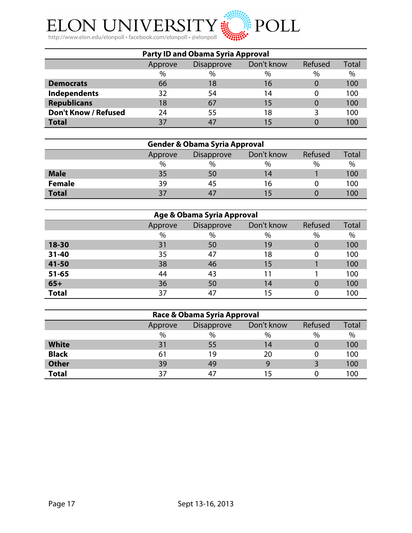

| <b>Party ID and Obama Syria Approval</b> |         |                                            |      |      |     |  |  |
|------------------------------------------|---------|--------------------------------------------|------|------|-----|--|--|
|                                          | Approve | Don't know<br>Refused<br><b>Disapprove</b> |      |      |     |  |  |
|                                          | $\%$    | $\%$                                       | $\%$ | $\%$ | %   |  |  |
| <b>Democrats</b>                         | 66      | 18                                         | 16   |      | 100 |  |  |
| Independents                             | 32      | 54                                         | 14   |      | 100 |  |  |
| <b>Republicans</b>                       | 18      | 67                                         | 15   |      | 100 |  |  |
| <b>Don't Know / Refused</b>              | 24      | 55                                         | 18   |      | 100 |  |  |
| <b>Total</b>                             | 37      | -47                                        | 15   |      | 100 |  |  |

| <b>Gender &amp; Obama Syria Approval</b> |                                                       |      |      |      |      |  |
|------------------------------------------|-------------------------------------------------------|------|------|------|------|--|
|                                          | Don't know<br>Refused<br><b>Disapprove</b><br>Approve |      |      |      |      |  |
|                                          | $\%$                                                  | $\%$ | $\%$ | $\%$ | $\%$ |  |
| <b>Male</b>                              | 35                                                    | 50   | 14   |      | 100  |  |
| <b>Female</b>                            | 39                                                    | 45   | 16   |      | 100  |  |
| <b>Total</b>                             | 37                                                    | 47   |      |      | 100  |  |

| Age & Obama Syria Approval |         |                   |            |          |       |
|----------------------------|---------|-------------------|------------|----------|-------|
|                            | Approve | <b>Disapprove</b> | Don't know | Refused  | Total |
|                            | $\%$    | %                 | $\%$       | $\%$     | %     |
| 18-30                      | 31      | 50                | 19         | $\Omega$ | 100   |
| $31 - 40$                  | 35      | 47                | 18         |          | 100   |
| 41-50                      | 38      | 46                | 15         |          | 100   |
| $51 - 65$                  | 44      | 43                | 11         |          | 100   |
| $65+$                      | 36      | 50                | 14         | 0        | 100   |
| <b>Total</b>               | 37      | 47                | 15         |          | 100   |

| Race & Obama Syria Approval |                                                       |      |      |      |      |  |
|-----------------------------|-------------------------------------------------------|------|------|------|------|--|
|                             | Refused<br>Don't know<br><b>Disapprove</b><br>Approve |      |      |      |      |  |
|                             | $\%$                                                  | $\%$ | $\%$ | $\%$ | $\%$ |  |
| <b>White</b>                | 31                                                    | 55   | 14   |      | 100  |  |
| <b>Black</b>                | 61                                                    | 19   | 20   |      | 100  |  |
| <b>Other</b>                | 39                                                    | 49   | 9    |      | 100  |  |
| <b>Total</b>                | 37                                                    | 47   | 15   |      | 100  |  |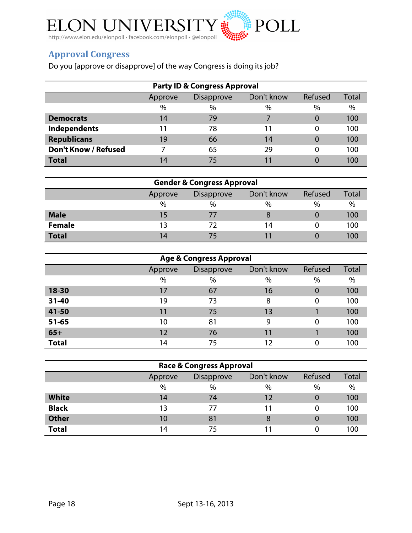

# **Approval!Congress**

Do you [approve or disapprove] of the way Congress is doing its job?

| <b>Party ID &amp; Congress Approval</b> |         |                   |               |          |       |  |  |  |  |
|-----------------------------------------|---------|-------------------|---------------|----------|-------|--|--|--|--|
|                                         | Approve | <b>Disapprove</b> | Don't know    | Refused  | Total |  |  |  |  |
|                                         | $\%$    | $\frac{0}{0}$     | $\frac{0}{0}$ | $\%$     | $\%$  |  |  |  |  |
| <b>Democrats</b>                        | 14      | 79                |               | $\Omega$ | 100   |  |  |  |  |
| Independents                            | 11      | 78                |               | 0        | 100   |  |  |  |  |
| <b>Republicans</b>                      | 19      | 66                | 14            | 0        | 100   |  |  |  |  |
| <b>Don't Know / Refused</b>             |         | 65                | 29            | 0        | 100   |  |  |  |  |
| <b>Total</b>                            | 14      | 75                |               |          | 100   |  |  |  |  |

| <b>Gender &amp; Congress Approval</b> |                                                       |               |      |               |      |  |  |  |
|---------------------------------------|-------------------------------------------------------|---------------|------|---------------|------|--|--|--|
|                                       | Don't know<br>Refused<br><b>Disapprove</b><br>Approve |               |      |               |      |  |  |  |
|                                       | $\%$                                                  | $\frac{0}{0}$ | $\%$ | $\frac{0}{0}$ | $\%$ |  |  |  |
| <b>Male</b>                           | 15                                                    | 77            | 8    |               | 100  |  |  |  |
| <b>Female</b>                         | 13                                                    |               | 14   |               | 100  |  |  |  |
| <b>Total</b>                          | 14                                                    | 75            |      |               | 100  |  |  |  |

| <b>Age &amp; Congress Approval</b> |         |                   |            |          |              |  |  |  |  |
|------------------------------------|---------|-------------------|------------|----------|--------------|--|--|--|--|
|                                    | Approve | <b>Disapprove</b> | Don't know | Refused  | <b>Total</b> |  |  |  |  |
|                                    | $\%$    | %                 | $\%$       | %        | $\%$         |  |  |  |  |
| 18-30                              | 17      | 67                | 16         | $\Omega$ | 100          |  |  |  |  |
| $31 - 40$                          | 19      | 73                | 8          | $\Omega$ | 100          |  |  |  |  |
| 41-50                              | 11      | 75                | 13         |          | 100          |  |  |  |  |
| $51 - 65$                          | 10      | 81                | 9          | $\Omega$ | 100          |  |  |  |  |
| $65+$                              | 12      | 76                | 11         |          | 100          |  |  |  |  |
| <b>Total</b>                       | 14      | 75                | 12         | $\Omega$ | 100          |  |  |  |  |

| <b>Race &amp; Congress Approval</b> |                                                |      |      |          |      |  |  |  |
|-------------------------------------|------------------------------------------------|------|------|----------|------|--|--|--|
|                                     | Refused<br>Don't know<br>Disapprove<br>Approve |      |      |          |      |  |  |  |
|                                     | $\%$                                           | $\%$ | $\%$ | $\%$     | $\%$ |  |  |  |
| <b>White</b>                        | 14                                             | 74   | 12   |          | 100  |  |  |  |
| <b>Black</b>                        | 13                                             | 77   | 11   | 0        | 100  |  |  |  |
| <b>Other</b>                        | 10                                             | 81   | 8    | $\Omega$ | 100  |  |  |  |
| <b>Total</b>                        | 14                                             | 75   |      |          | 100  |  |  |  |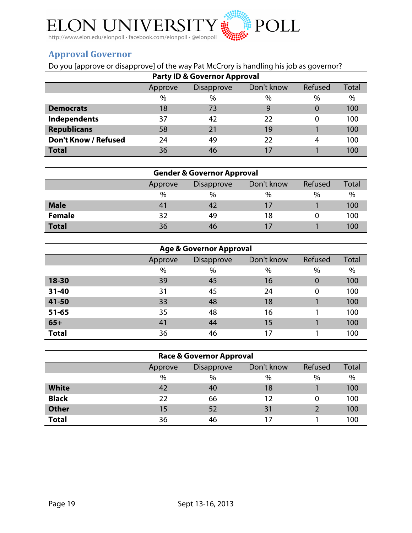

# **Approval!Governor**

# Do you [approve or disapprove] of the way Pat McCrory is handling his job as governor?

| <b>Party ID &amp; Governor Approval</b> |         |                   |            |         |              |  |  |  |
|-----------------------------------------|---------|-------------------|------------|---------|--------------|--|--|--|
|                                         | Approve | <b>Disapprove</b> | Don't know | Refused | <b>Total</b> |  |  |  |
|                                         | $\%$    | $\%$              | $\%$       | $\%$    | $\%$         |  |  |  |
| <b>Democrats</b>                        | 18      | 73                | 9          | 0       | 100          |  |  |  |
| Independents                            | 37      | 42                | 22         | 0       | 100          |  |  |  |
| <b>Republicans</b>                      | 58      | 21                | 19         |         | 100          |  |  |  |
| <b>Don't Know / Refused</b>             | 24      | 49                | 22         | 4       | 100          |  |  |  |
| <b>Total</b>                            | 36      | 46                |            |         | 100          |  |  |  |

|               | <b>Gender &amp; Governor Approval</b>                 |      |      |      |      |  |  |  |  |  |
|---------------|-------------------------------------------------------|------|------|------|------|--|--|--|--|--|
|               | Don't know<br>Refused<br><b>Disapprove</b><br>Approve |      |      |      |      |  |  |  |  |  |
|               | $\%$                                                  | $\%$ | $\%$ | $\%$ | $\%$ |  |  |  |  |  |
| <b>Male</b>   | 41                                                    | 42   |      |      | 100  |  |  |  |  |  |
| <b>Female</b> | 32                                                    | 49   | 18   |      | 100  |  |  |  |  |  |
| <b>Total</b>  | 36                                                    | 46   |      |      | 100  |  |  |  |  |  |

| <b>Age &amp; Governor Approval</b> |         |                   |            |                |              |  |  |  |  |
|------------------------------------|---------|-------------------|------------|----------------|--------------|--|--|--|--|
|                                    | Approve | <b>Disapprove</b> | Don't know | Refused        | <b>Total</b> |  |  |  |  |
|                                    | $\%$    | $\%$              | $\%$       | %              | $\%$         |  |  |  |  |
| 18-30                              | 39      | 45                | 16         | $\overline{0}$ | 100          |  |  |  |  |
| $31 - 40$                          | 31      | 45                | 24         | $\Omega$       | 100          |  |  |  |  |
| 41-50                              | 33      | 48                | 18         |                | 100          |  |  |  |  |
| $51 - 65$                          | 35      | 48                | 16         |                | 100          |  |  |  |  |
| $65+$                              | 41      | 44                | 15         |                | 100          |  |  |  |  |
| <b>Total</b>                       | 36      | 46                | 17         |                | 100          |  |  |  |  |

| Race & Governor Approval |         |            |            |         |              |  |  |  |  |
|--------------------------|---------|------------|------------|---------|--------------|--|--|--|--|
|                          | Approve | Disapprove | Don't know | Refused | <b>Total</b> |  |  |  |  |
|                          | $\%$    | $\%$       | %          | $\%$    | $\%$         |  |  |  |  |
| <b>White</b>             | 42      | 40         | 18         |         | 100          |  |  |  |  |
| <b>Black</b>             | 22      | 66         | 12         |         | 100          |  |  |  |  |
| <b>Other</b>             | 15      | 52         | 31         |         | 100          |  |  |  |  |
| <b>Total</b>             | 36      | 46         |            |         | 100          |  |  |  |  |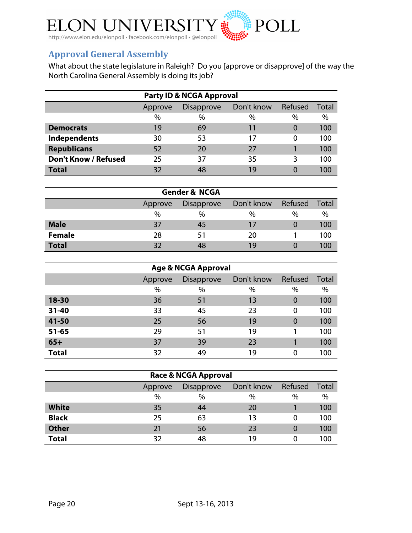

### **Approval General Assembly**

What about the state legislature in Raleigh? Do you [approve or disapprove] of the way the North Carolina General Assembly is doing its job?

|                             | <b>Party ID &amp; NCGA Approval</b> |                   |            |          |       |  |
|-----------------------------|-------------------------------------|-------------------|------------|----------|-------|--|
|                             | Approve                             | <b>Disapprove</b> | Don't know | Refused  | Total |  |
|                             | %                                   | $\%$              | $\%$       | $\%$     | $\%$  |  |
| <b>Democrats</b>            | 19                                  | 69                | 11         | $\Omega$ | 100   |  |
| Independents                | 30                                  | 53                | 17         | 0        | 100   |  |
| <b>Republicans</b>          | 52                                  | 20                | 27         |          | 100   |  |
| <b>Don't Know / Refused</b> | 25                                  | 37                | 35         | 3        | 100   |  |
| <b>Total</b>                | 32                                  | 48                | 19         | $\Omega$ | 100   |  |

| <b>Gender &amp; NCGA</b> |         |            |            |          |       |  |  |  |
|--------------------------|---------|------------|------------|----------|-------|--|--|--|
|                          | Approve | Disapprove | Don't know | Refused  | Total |  |  |  |
|                          | $\%$    | %          | $\%$       | $\%$     | %     |  |  |  |
| <b>Male</b>              | 37      | 45         | 17         | $\Omega$ | 100   |  |  |  |
| <b>Female</b>            | 28      | 51         | 20         |          | 100   |  |  |  |
| <b>Total</b>             | 32      | 48         | 19         |          | 100   |  |  |  |

| <b>Age &amp; NCGA Approval</b> |         |                   |            |             |       |  |  |  |
|--------------------------------|---------|-------------------|------------|-------------|-------|--|--|--|
|                                | Approve | <b>Disapprove</b> | Don't know | Refused     | Total |  |  |  |
|                                | %       | $\%$              | %          | $\%$        | $\%$  |  |  |  |
| 18-30                          | 36      | 51                | 13         | $\mathbf 0$ | 100   |  |  |  |
| $31 - 40$                      | 33      | 45                | 23         | 0           | 100   |  |  |  |
| 41-50                          | 25      | 56                | 19         | $\mathbf 0$ | 100   |  |  |  |
| $51 - 65$                      | 29      | 51                | 19         |             | 100   |  |  |  |
| $65+$                          | 37      | 39                | 23         |             | 100   |  |  |  |
| <b>Total</b>                   | 32      | 49                | 19         | $\Omega$    | 100   |  |  |  |

| <b>Race &amp; NCGA Approval</b> |         |                   |            |          |              |  |  |  |  |
|---------------------------------|---------|-------------------|------------|----------|--------------|--|--|--|--|
|                                 | Approve | <b>Disapprove</b> | Don't know | Refused  | <b>Total</b> |  |  |  |  |
|                                 | %       | %                 | $\%$       | $\%$     | $\%$         |  |  |  |  |
| <b>White</b>                    | 35      | 44                | 20         |          | 100          |  |  |  |  |
| <b>Black</b>                    | 25      | 63                | 13         | 0        | 100          |  |  |  |  |
| <b>Other</b>                    | 21      | 56                | 23         | $\Omega$ | 100          |  |  |  |  |
| <b>Total</b>                    | 32      | 48                | 19         | 0        | 100          |  |  |  |  |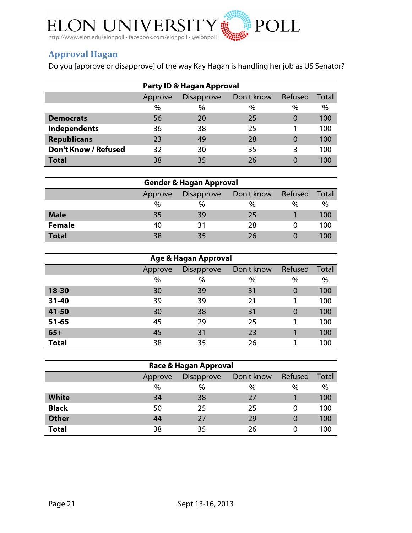

# **Approval!Hagan**

Do you [approve or disapprove] of the way Kay Hagan is handling her job as US Senator?

| <b>Party ID &amp; Hagan Approval</b> |         |                                            |      |          |              |  |  |
|--------------------------------------|---------|--------------------------------------------|------|----------|--------------|--|--|
|                                      | Approve | Don't know<br>Refused<br><b>Disapprove</b> |      |          | <b>Total</b> |  |  |
|                                      | $\%$    | $\%$                                       | $\%$ | $\%$     | $\%$         |  |  |
| <b>Democrats</b>                     | 56      | 20                                         | 25   | 0        | 100          |  |  |
| <b>Independents</b>                  | 36      | 38                                         | 25   |          | 100          |  |  |
| <b>Republicans</b>                   | 23      | 49                                         | 28   | $\Omega$ | 100          |  |  |
| <b>Don't Know / Refused</b>          | 32      | 30                                         | 35   | 3        | 100          |  |  |
| <b>Total</b>                         | 38      | 35                                         | 26   |          | 100          |  |  |

|               | <b>Gender &amp; Hagan Approval</b> |                                            |      |   |      |  |  |
|---------------|------------------------------------|--------------------------------------------|------|---|------|--|--|
|               | Approve                            | Refused<br>Don't know<br><b>Disapprove</b> |      |   |      |  |  |
|               | $\%$                               | %                                          | $\%$ | % | $\%$ |  |  |
| <b>Male</b>   | 35                                 | 39                                         | 25   |   | 100  |  |  |
| <b>Female</b> | 40                                 | 31                                         | 28   |   | 100  |  |  |
| <b>Total</b>  | 38                                 | 35                                         | 26   |   | 100  |  |  |

| Age & Hagan Approval |         |                   |            |             |       |  |  |
|----------------------|---------|-------------------|------------|-------------|-------|--|--|
|                      | Approve | <b>Disapprove</b> | Don't know | Refused     | Total |  |  |
|                      | %       | %                 | %          | $\%$        | $\%$  |  |  |
| $18 - 30$            | 30      | 39                | 31         | $\mathbf 0$ | 100   |  |  |
| $31 - 40$            | 39      | 39                | 21         |             | 100   |  |  |
| 41-50                | 30      | 38                | 31         | $\Omega$    | 100   |  |  |
| $51 - 65$            | 45      | 29                | 25         |             | 100   |  |  |
| $65+$                | 45      | 31                | 23         |             | 100   |  |  |
| <b>Total</b>         | 38      | 35                | 26         |             | 100   |  |  |

| Race & Hagan Approval |         |                   |            |         |       |  |  |
|-----------------------|---------|-------------------|------------|---------|-------|--|--|
|                       | Approve | <b>Disapprove</b> | Don't know | Refused | Total |  |  |
|                       | $\%$    | %                 | $\%$       | $\%$    | $\%$  |  |  |
| <b>White</b>          | 34      | 38                | 27         |         | 100   |  |  |
| <b>Black</b>          | 50      | 25                | 25         |         | 100   |  |  |
| <b>Other</b>          | 44      | 27                | 29         | 0       | 100   |  |  |
| <b>Total</b>          | 38      | 35                | 26         |         | 100   |  |  |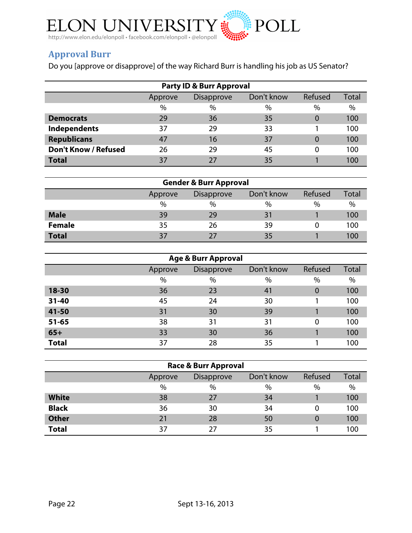

# **Approval!Burr**

Do you [approve or disapprove] of the way Richard Burr is handling his job as US Senator?

| <b>Party ID &amp; Burr Approval</b> |         |                                 |      |          |              |  |  |
|-------------------------------------|---------|---------------------------------|------|----------|--------------|--|--|
|                                     | Approve | Don't know<br><b>Disapprove</b> |      | Refused  | <b>Total</b> |  |  |
|                                     | $\%$    | $\%$                            | $\%$ | $\%$     | $\%$         |  |  |
| <b>Democrats</b>                    | 29      | 36                              | 35   | $\Omega$ | 100          |  |  |
| Independents                        | 37      | 29                              | 33   |          | 100          |  |  |
| <b>Republicans</b>                  | 47      | 16                              | 37   | $\Omega$ | 100          |  |  |
| <b>Don't Know / Refused</b>         | 26      | 29                              | 45   | 0        | 100          |  |  |
| <b>Total</b>                        | 37      | 27                              | 35   |          | 100          |  |  |

| <b>Gender &amp; Burr Approval</b> |         |                                            |      |      |     |  |  |
|-----------------------------------|---------|--------------------------------------------|------|------|-----|--|--|
|                                   | Approve | Don't know<br>Refused<br><b>Disapprove</b> |      |      |     |  |  |
|                                   | $\%$    | $\frac{0}{0}$                              | $\%$ | $\%$ | %   |  |  |
| <b>Male</b>                       | 39      | 29                                         | 31   |      | 100 |  |  |
| <b>Female</b>                     | 35      | 26                                         | 39   |      | 100 |  |  |
| <b>Total</b>                      | 37      | 27                                         | 35   |      | 100 |  |  |

| <b>Age &amp; Burr Approval</b> |         |                                 |      |          |              |  |  |  |
|--------------------------------|---------|---------------------------------|------|----------|--------------|--|--|--|
|                                | Approve | Don't know<br><b>Disapprove</b> |      | Refused  | <b>Total</b> |  |  |  |
|                                | $\%$    | %                               | $\%$ | $\%$     | $\%$         |  |  |  |
| 18-30                          | 36      | 23                              | 41   |          | 100          |  |  |  |
| $31 - 40$                      | 45      | 24                              | 30   |          | 100          |  |  |  |
| 41-50                          | 31      | 30                              | 39   |          | 100          |  |  |  |
| $51 - 65$                      | 38      | 31                              | 31   | $\Omega$ | 100          |  |  |  |
| $65+$                          | 33      | 30                              | 36   |          | 100          |  |  |  |
| <b>Total</b>                   | 37      | 28                              | 35   |          | 100          |  |  |  |

| <b>Race &amp; Burr Approval</b> |         |                                            |      |          |     |  |  |
|---------------------------------|---------|--------------------------------------------|------|----------|-----|--|--|
|                                 | Approve | Refused<br>Don't know<br><b>Disapprove</b> |      |          |     |  |  |
|                                 | $\%$    | $\%$                                       | $\%$ | $\%$     | %   |  |  |
| <b>White</b>                    | 38      | 27                                         | 34   |          | 100 |  |  |
| <b>Black</b>                    | 36      | 30                                         | 34   | $\Omega$ | 100 |  |  |
| <b>Other</b>                    | 21      | 28                                         | 50   | $\Omega$ | 100 |  |  |
| <b>Total</b>                    | 37      | 27                                         | 35   |          | 100 |  |  |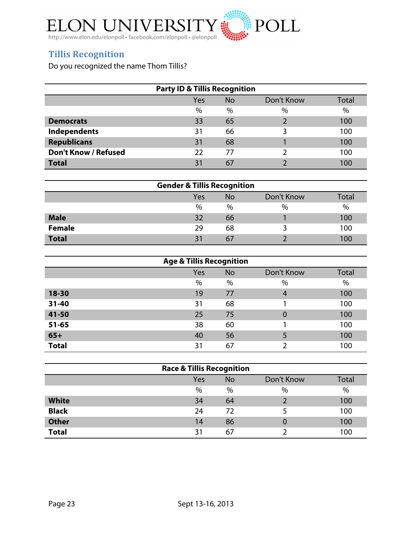

# **Tillis Recognition**

Do you recognized the name Thom Tillis?

| <b>Party ID &amp; Tillis Recognition</b> |      |           |            |       |  |  |
|------------------------------------------|------|-----------|------------|-------|--|--|
|                                          | Yes  | <b>No</b> | Don't Know | Total |  |  |
|                                          | $\%$ | $\%$      | $\%$       | $\%$  |  |  |
| <b>Democrats</b>                         | 33   | 65        | ำ          | 100   |  |  |
| Independents                             | 31   | 66        |            | 100   |  |  |
| <b>Republicans</b>                       | 31   | 68        |            | 100   |  |  |
| <b>Don't Know / Refused</b>              | 22   | 77        |            | 100   |  |  |
| <b>Total</b>                             | 31   | 67        |            | 100   |  |  |

| <b>Gender &amp; Tillis Recognition</b> |     |           |            |              |  |  |
|----------------------------------------|-----|-----------|------------|--------------|--|--|
|                                        | Yes | <b>No</b> | Don't Know | <b>Total</b> |  |  |
|                                        | %   | $\%$      | $\%$       | $\%$         |  |  |
| <b>Male</b>                            | 32  | 66        |            | 100          |  |  |
| <b>Female</b>                          | 29  | 68        |            | 100          |  |  |
| <b>Total</b>                           | 31  | 67        |            | 100          |  |  |

| <b>Age &amp; Tillis Recognition</b> |      |           |            |       |  |  |
|-------------------------------------|------|-----------|------------|-------|--|--|
|                                     | Yes  | <b>No</b> | Don't Know | Total |  |  |
|                                     | $\%$ | %         | %          | $\%$  |  |  |
| 18-30                               | 19   | 77        | 4          | 100   |  |  |
| $31 - 40$                           | 31   | 68        |            | 100   |  |  |
| 41-50                               | 25   | 75        | 0          | 100   |  |  |
| $51 - 65$                           | 38   | 60        |            | 100   |  |  |
| $65+$                               | 40   | 56        | 5          | 100   |  |  |
| <b>Total</b>                        | 31   | 67        | ว          | 100   |  |  |

| <b>Race &amp; Tillis Recognition</b> |     |           |            |       |  |  |
|--------------------------------------|-----|-----------|------------|-------|--|--|
|                                      | Yes | <b>No</b> | Don't Know | Total |  |  |
|                                      | %   | $\%$      | $\%$       | %     |  |  |
| <b>White</b>                         | 34  | 64        |            | 100   |  |  |
| <b>Black</b>                         | 24  | 72        |            | 100   |  |  |
| <b>Other</b>                         | 14  | 86        | 0          | 100   |  |  |
| <b>Total</b>                         | 31  | 67        |            | 100   |  |  |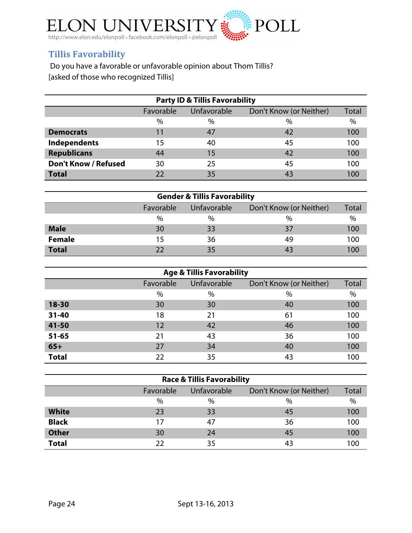

## **Tillis!Favorability**

Do you have a favorable or unfavorable opinion about Thom Tillis? [asked of those who recognized Tillis]

| <b>Party ID &amp; Tillis Favorability</b> |           |             |                         |       |
|-------------------------------------------|-----------|-------------|-------------------------|-------|
|                                           | Favorable | Unfavorable | Don't Know (or Neither) | Total |
|                                           | $\%$      | $\%$        | $\%$                    | $\%$  |
| <b>Democrats</b>                          | 11        | 47          | 42                      | 100   |
| Independents                              | 15        | 40          | 45                      | 100   |
| <b>Republicans</b>                        | 44        | 15          | 42                      | 100   |
| <b>Don't Know / Refused</b>               | 30        | 25          | 45                      | 100   |
| <b>Total</b>                              | 22        | 35          | 43                      | 100   |

| <b>Gender &amp; Tillis Favorability</b> |                                                     |      |               |      |  |
|-----------------------------------------|-----------------------------------------------------|------|---------------|------|--|
|                                         | Favorable<br>Don't Know (or Neither)<br>Unfavorable |      |               |      |  |
|                                         | $\%$                                                | $\%$ | $\frac{0}{0}$ | $\%$ |  |
| <b>Male</b>                             | 30                                                  | 33   | 37            | 100  |  |
| <b>Female</b>                           | 15                                                  | 36   | 49            | 100  |  |
| <b>Total</b>                            | つつ                                                  | 35   | 43            | 100  |  |

| <b>Age &amp; Tillis Favorability</b> |           |             |                         |       |  |
|--------------------------------------|-----------|-------------|-------------------------|-------|--|
|                                      | Favorable | Unfavorable | Don't Know (or Neither) | Total |  |
|                                      | $\%$      | $\%$        | $\%$                    | $\%$  |  |
| $18 - 30$                            | 30        | 30          | 40                      | 100   |  |
| $31 - 40$                            | 18        | 21          | 61                      | 100   |  |
| 41-50                                | 12        | 42          | 46                      | 100   |  |
| $51 - 65$                            | 21        | 43          | 36                      | 100   |  |
| $65+$                                | 27        | 34          | 40                      | 100   |  |
| <b>Total</b>                         | 22        | 35          | 43                      | 100   |  |

| <b>Race &amp; Tillis Favorability</b> |           |                    |                         |       |
|---------------------------------------|-----------|--------------------|-------------------------|-------|
|                                       | Favorable | <b>Unfavorable</b> | Don't Know (or Neither) | Total |
|                                       | $\%$      | $\%$               | $\%$                    | $\%$  |
| <b>White</b>                          | 23        | 33                 | 45                      | 100   |
| <b>Black</b>                          | 17        | 47                 | 36                      | 100   |
| <b>Other</b>                          | 30        | 24                 | 45                      | 100   |
| <b>Total</b>                          | 22        | 35                 | 43                      | 100   |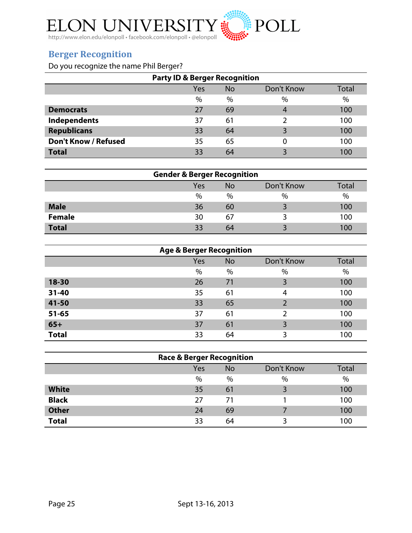

### **Berger Recognition**

Do you recognize the name Phil Berger?

| <b>Party ID &amp; Berger Recognition</b> |      |      |                         |       |
|------------------------------------------|------|------|-------------------------|-------|
|                                          | Yes  | No   | Don't Know              | Total |
|                                          | $\%$ | $\%$ | $\frac{0}{0}$           | $\%$  |
| <b>Democrats</b>                         | 27   | 69   |                         | 100   |
| Independents                             | 37   | 61   |                         | 100   |
| <b>Republicans</b>                       | 33   | 64   | 3                       | 100   |
| <b>Don't Know / Refused</b>              | 35   | 65   |                         | 100   |
| <b>Total</b>                             | 33   | 64   | $\overline{\mathbf{z}}$ | 100   |

| <b>Gender &amp; Berger Recognition</b> |      |           |            |       |
|----------------------------------------|------|-----------|------------|-------|
|                                        | Yes  | <b>No</b> | Don't Know | Total |
|                                        | $\%$ | $\%$      | $\%$       | $\%$  |
| <b>Male</b>                            | 36   | 60        |            | 100   |
| <b>Female</b>                          | 30   | 67        |            | 100   |
| <b>Total</b>                           | 33   | 64        |            | 100   |

| <b>Age &amp; Berger Recognition</b> |     |           |            |       |
|-------------------------------------|-----|-----------|------------|-------|
|                                     | Yes | <b>No</b> | Don't Know | Total |
|                                     | %   | %         | $\%$       | %     |
| 18-30                               | 26  | 71        | 3          | 100   |
| $31 - 40$                           | 35  | 61        | 4          | 100   |
| 41-50                               | 33  | 65        | 2          | 100   |
| $51 - 65$                           | 37  | 61        | າ          | 100   |
| $65+$                               | 37  | 61        | 3          | 100   |
| <b>Total</b>                        | 33  | 64        | 3          | 100   |

| <b>Race &amp; Berger Recognition</b> |      |           |            |       |
|--------------------------------------|------|-----------|------------|-------|
|                                      | Yes  | <b>No</b> | Don't Know | Total |
|                                      | $\%$ | $\%$      | $\%$       | $\%$  |
| <b>White</b>                         | 35   | 61        |            | 100   |
| <b>Black</b>                         | 27   | 71        |            | 100   |
| <b>Other</b>                         | 24   | 69        |            | 100   |
| <b>Total</b>                         | 33   | 64        |            | 100   |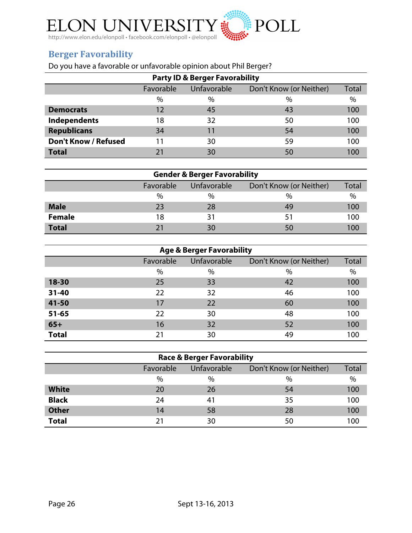

# **Berger Favorability**

Do you have a favorable or unfavorable opinion about Phil Berger?

| <b>Party ID &amp; Berger Favorability</b> |           |             |                         |       |  |
|-------------------------------------------|-----------|-------------|-------------------------|-------|--|
|                                           | Favorable | Unfavorable | Don't Know (or Neither) | Total |  |
|                                           | $\%$      | $\%$        | $\%$                    | $\%$  |  |
| <b>Democrats</b>                          | 12        | 45          | 43                      | 100   |  |
| Independents                              | 18        | 32          | 50                      | 100   |  |
| <b>Republicans</b>                        | 34        | 11          | 54                      | 100   |  |
| <b>Don't Know / Refused</b>               | 11        | 30          | 59                      | 100   |  |
| <b>Total</b>                              | 21        | 30          | 50                      | 100   |  |

| <b>Gender &amp; Berger Favorability</b> |           |             |                         |       |
|-----------------------------------------|-----------|-------------|-------------------------|-------|
|                                         | Favorable | Unfavorable | Don't Know (or Neither) | Total |
|                                         | $\%$      | $\%$        | $\%$                    | $\%$  |
| <b>Male</b>                             | 23        | 28          | 49                      | 100   |
| <b>Female</b>                           | 18        | 31          | 51                      | 100   |
| <b>Total</b>                            | 21        | 30          | 50                      |       |

| <b>Age &amp; Berger Favorability</b> |           |                    |                         |       |  |
|--------------------------------------|-----------|--------------------|-------------------------|-------|--|
|                                      | Favorable | <b>Unfavorable</b> | Don't Know (or Neither) | Total |  |
|                                      | $\%$      | $\%$               | $\%$                    | $\%$  |  |
| $18 - 30$                            | 25        | 33                 | 42                      | 100   |  |
| $31 - 40$                            | 22        | 32                 | 46                      | 100   |  |
| 41-50                                | 17        | 22                 | 60                      | 100   |  |
| $51 - 65$                            | 22        | 30                 | 48                      | 100   |  |
| $65+$                                | 16        | 32                 | 52                      | 100   |  |
| <b>Total</b>                         | 21        | 30                 | 49                      | 100   |  |

| <b>Race &amp; Berger Favorability</b> |           |             |                         |       |
|---------------------------------------|-----------|-------------|-------------------------|-------|
|                                       | Favorable | Unfavorable | Don't Know (or Neither) | Total |
|                                       | %         | $\%$        | $\%$                    | %     |
| <b>White</b>                          | 20        | 26          | 54                      | 100   |
| <b>Black</b>                          | 24        | 41          | 35                      | 100   |
| <b>Other</b>                          | 14        | 58          | 28                      | 100   |
| <b>Total</b>                          | 21        | 30          | 50                      | 100   |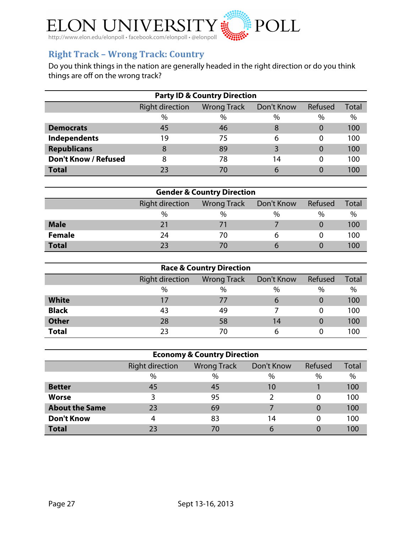

# **Right Track - Wrong Track: Country**

Do you think things in the nation are generally headed in the right direction or do you think things are off on the wrong track?

| <b>Party ID &amp; Country Direction</b> |                                                                                |      |      |      |      |  |  |  |  |
|-----------------------------------------|--------------------------------------------------------------------------------|------|------|------|------|--|--|--|--|
|                                         | <b>Right direction</b><br>Refused<br>Don't Know<br><b>Wrong Track</b><br>Total |      |      |      |      |  |  |  |  |
|                                         | $\%$                                                                           | $\%$ | $\%$ | $\%$ | $\%$ |  |  |  |  |
| <b>Democrats</b>                        | 45                                                                             | 46   | 8    | 0    | 100  |  |  |  |  |
| Independents                            | 19                                                                             | 75   | 6    | O    | 100  |  |  |  |  |
| <b>Republicans</b>                      | 8                                                                              | 89   |      | 0    | 100  |  |  |  |  |
| <b>Don't Know / Refused</b>             | 8                                                                              | 78   | 14   | 0    | 100  |  |  |  |  |
| <b>Total</b>                            | 23                                                                             | 70   | 6    |      | 100  |  |  |  |  |

| <b>Gender &amp; Country Direction</b> |                        |         |              |      |      |  |  |  |
|---------------------------------------|------------------------|---------|--------------|------|------|--|--|--|
|                                       | <b>Right direction</b> | Refused | <b>Total</b> |      |      |  |  |  |
|                                       | $\%$                   | $\%$    | $\%$         | $\%$ | $\%$ |  |  |  |
| <b>Male</b>                           |                        | 71      |              |      | 100  |  |  |  |
| <b>Female</b>                         | 24                     | 70      | b            |      | 100  |  |  |  |
| <b>Total</b>                          |                        |         |              |      | 100  |  |  |  |

| <b>Race &amp; Country Direction</b> |                                                                       |      |      |          |      |  |  |  |  |
|-------------------------------------|-----------------------------------------------------------------------|------|------|----------|------|--|--|--|--|
|                                     | <b>Right direction</b><br>Refused<br>Don't Know<br><b>Wrong Track</b> |      |      |          |      |  |  |  |  |
|                                     | $\%$                                                                  | $\%$ | $\%$ | %        | $\%$ |  |  |  |  |
| <b>White</b>                        | 17                                                                    | 77   | 6    | $\Omega$ | 100  |  |  |  |  |
| <b>Black</b>                        | 43                                                                    | 49   |      | 0        | 100  |  |  |  |  |
| <b>Other</b>                        | 28                                                                    | 58   | 14   |          | 100  |  |  |  |  |
| <b>Total</b>                        | 23                                                                    | 70   | 6    |          | 100  |  |  |  |  |

| <b>Economy &amp; Country Direction</b> |                        |                    |            |         |       |  |  |  |
|----------------------------------------|------------------------|--------------------|------------|---------|-------|--|--|--|
|                                        | <b>Right direction</b> | <b>Wrong Track</b> | Don't Know | Refused | Total |  |  |  |
|                                        | $\%$                   | $\%$               | $\%$       | $\%$    | $\%$  |  |  |  |
| <b>Better</b>                          | 45                     | 45                 | 10         |         | 100   |  |  |  |
| <b>Worse</b>                           |                        | 95                 |            |         | 100   |  |  |  |
| <b>About the Same</b>                  | 23                     | 69                 |            |         | 100   |  |  |  |
| <b>Don't Know</b>                      | 4                      | 83                 | 14         |         | 100   |  |  |  |
| <b>Total</b>                           | 23                     | 70                 | 6          |         | 100   |  |  |  |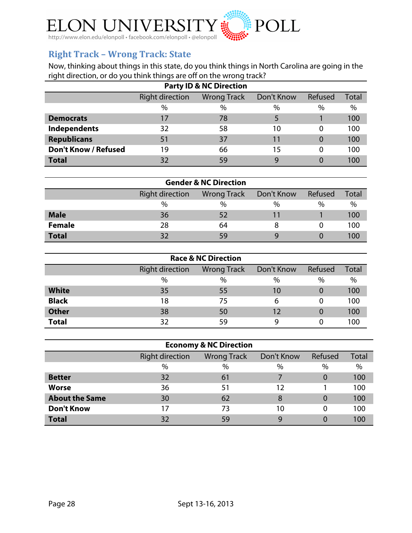

### **Right Track - Wrong Track: State**

Now, thinking about things in this state, do you think things in North Carolina are going in the right direction, or do you think things are off on the wrong track?

| <b>Party ID &amp; NC Direction</b>                                             |      |    |      |          |      |  |  |  |  |
|--------------------------------------------------------------------------------|------|----|------|----------|------|--|--|--|--|
| <b>Right direction</b><br>Refused<br>Don't Know<br><b>Wrong Track</b><br>Total |      |    |      |          |      |  |  |  |  |
|                                                                                | $\%$ | %  | $\%$ | $\%$     | $\%$ |  |  |  |  |
| <b>Democrats</b>                                                               |      | 78 |      |          | 100  |  |  |  |  |
| <b>Independents</b>                                                            | 32   | 58 | 10   | 0        | 100  |  |  |  |  |
| <b>Republicans</b>                                                             | 51   | 37 | 11   | $\Omega$ | 100  |  |  |  |  |
| <b>Don't Know / Refused</b>                                                    | 19   | 66 | 15   | 0        | 100  |  |  |  |  |
| <b>Total</b>                                                                   | 32   | 59 | 9    |          | 100  |  |  |  |  |

| <b>Gender &amp; NC Direction</b> |                                                                       |      |      |      |      |  |  |  |
|----------------------------------|-----------------------------------------------------------------------|------|------|------|------|--|--|--|
|                                  | <b>Right direction</b><br>Refused<br><b>Wrong Track</b><br>Don't Know |      |      |      |      |  |  |  |
|                                  | $\%$                                                                  | $\%$ | $\%$ | $\%$ | $\%$ |  |  |  |
| <b>Male</b>                      | 36                                                                    | 52   |      |      | 100  |  |  |  |
| <b>Female</b>                    | 28                                                                    | 64   |      |      | 100  |  |  |  |
| <b>Total</b>                     | っつ                                                                    | 59   |      |      | 100  |  |  |  |

| <b>Race &amp; NC Direction</b> |                                                                       |      |      |      |      |  |  |  |  |
|--------------------------------|-----------------------------------------------------------------------|------|------|------|------|--|--|--|--|
|                                | <b>Right direction</b><br>Refused<br>Don't Know<br><b>Wrong Track</b> |      |      |      |      |  |  |  |  |
|                                | $\%$                                                                  | $\%$ | $\%$ | $\%$ | $\%$ |  |  |  |  |
| <b>White</b>                   | 35                                                                    | 55   | 10   | 0    | 100  |  |  |  |  |
| <b>Black</b>                   | 18                                                                    | 75   | 6    | 0    | 100  |  |  |  |  |
| <b>Other</b>                   | 38                                                                    | 50   | 12   | 0    | 100  |  |  |  |  |
| <b>Total</b>                   | 32                                                                    | 59   |      | 0    | 100  |  |  |  |  |

| <b>Economy &amp; NC Direction</b>                                     |      |      |      |                |      |  |  |  |  |
|-----------------------------------------------------------------------|------|------|------|----------------|------|--|--|--|--|
| <b>Right direction</b><br>Don't Know<br>Refused<br><b>Wrong Track</b> |      |      |      |                |      |  |  |  |  |
|                                                                       | $\%$ | $\%$ | $\%$ | $\%$           | $\%$ |  |  |  |  |
| <b>Better</b>                                                         | 32   | 61   |      | 0              | 100  |  |  |  |  |
| <b>Worse</b>                                                          | 36   | 51   | 12   |                | 100  |  |  |  |  |
| <b>About the Same</b>                                                 | 30   | 62   | 8    | $\overline{0}$ | 100  |  |  |  |  |
| <b>Don't Know</b>                                                     | 17   | 73   | 10   | 0              | 100  |  |  |  |  |
| <b>Total</b>                                                          | 32   | 59   | 9    | 0              | 100  |  |  |  |  |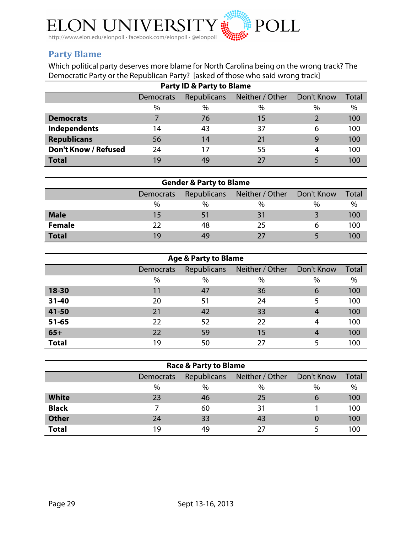

### **Party!Blame**

Which political party deserves more blame for North Carolina being on the wrong track? The Democratic Party or the Republican Party? [asked of those who said wrong track]

| <b>Party ID &amp; Party to Blame</b> |                                                           |      |      |      |      |  |  |  |  |
|--------------------------------------|-----------------------------------------------------------|------|------|------|------|--|--|--|--|
|                                      | Neither / Other<br>Republicans<br>Don't Know<br>Democrats |      |      |      |      |  |  |  |  |
|                                      | $\%$                                                      | $\%$ | $\%$ | $\%$ | $\%$ |  |  |  |  |
| <b>Democrats</b>                     |                                                           | 76   | 15   |      | 100  |  |  |  |  |
| <b>Independents</b>                  | 14                                                        | 43   | 37   | 6    | 100  |  |  |  |  |
| <b>Republicans</b>                   | 56                                                        | 14   | 21   | 9    | 100  |  |  |  |  |
| <b>Don't Know / Refused</b>          | 24                                                        |      | 55   | 4    | 100  |  |  |  |  |
| <b>Total</b>                         | 19                                                        | 49   | 27   |      | 100  |  |  |  |  |

| <b>Gender &amp; Party to Blame</b> |           |                                        |    |      |      |  |  |  |
|------------------------------------|-----------|----------------------------------------|----|------|------|--|--|--|
|                                    | Democrats | Republicans Neither / Other Don't Know |    |      |      |  |  |  |
|                                    | $\%$      | $\%$                                   | %  | $\%$ | $\%$ |  |  |  |
| <b>Male</b>                        | 15        |                                        |    |      | 100  |  |  |  |
| <b>Female</b>                      | 22        | 48                                     | 25 |      | 100  |  |  |  |
| <b>Total</b>                       | 19        | 49                                     | つフ |      | 100  |  |  |  |

| <b>Age &amp; Party to Blame</b> |                  |      |                             |            |              |  |  |  |  |
|---------------------------------|------------------|------|-----------------------------|------------|--------------|--|--|--|--|
|                                 | <b>Democrats</b> |      | Republicans Neither / Other | Don't Know | <b>Total</b> |  |  |  |  |
|                                 | $\%$             | $\%$ | $\%$                        | %          | %            |  |  |  |  |
| 18-30                           | 11               | 47   | 36                          | 6          | 100          |  |  |  |  |
| $31 - 40$                       | 20               | 51   | 24                          | 5          | 100          |  |  |  |  |
| 41-50                           | 21               | 42   | 33                          | 4          | 100          |  |  |  |  |
| $51 - 65$                       | 22               | 52   | 22                          | 4          | 100          |  |  |  |  |
| $65+$                           | 22               | 59   | 15                          | 4          | 100          |  |  |  |  |
| <b>Total</b>                    | 19               | 50   | 27                          |            | 100          |  |  |  |  |

| <b>Race &amp; Party to Blame</b> |                  |             |                 |              |              |  |  |  |
|----------------------------------|------------------|-------------|-----------------|--------------|--------------|--|--|--|
|                                  | <b>Democrats</b> | Republicans | Neither / Other | Don't Know   | <b>Total</b> |  |  |  |
|                                  | $\%$             | $\%$        | $\%$            | $\%$         | $\%$         |  |  |  |
| <b>White</b>                     | 23               | 46          | 25              | $\mathbf{6}$ | 100          |  |  |  |
| <b>Black</b>                     |                  | 60          | 31              |              | 100          |  |  |  |
| <b>Other</b>                     | 24               | 33          | 43              |              | 100          |  |  |  |
| <b>Total</b>                     | 19               | 49          | 27              |              | 100          |  |  |  |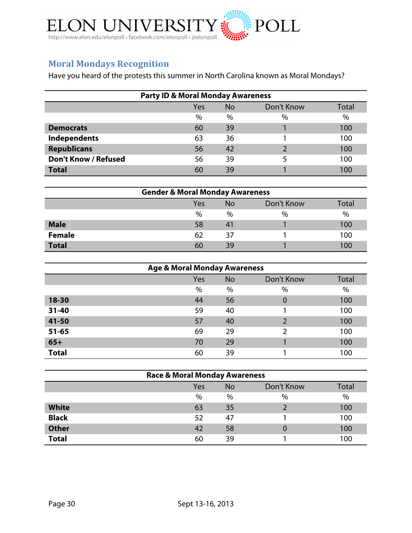

# **Moral!Mondays!Recognition**

Have you heard of the protests this summer in North Carolina known as Moral Mondays?

| <b>Party ID &amp; Moral Monday Awareness</b> |      |           |            |               |  |
|----------------------------------------------|------|-----------|------------|---------------|--|
|                                              | Yes  | <b>No</b> | Don't Know | Total         |  |
|                                              | $\%$ | $\%$      | $\%$       | $\frac{0}{0}$ |  |
| <b>Democrats</b>                             | 60   | 39        |            | 100           |  |
| Independents                                 | 63   | 36        |            | 100           |  |
| <b>Republicans</b>                           | 56   | 42        |            | 100           |  |
| <b>Don't Know / Refused</b>                  | 56   | 39        |            | 100           |  |
| <b>Total</b>                                 | 60   | 39        |            | 100           |  |

| <b>Gender &amp; Moral Monday Awareness</b> |      |           |            |               |
|--------------------------------------------|------|-----------|------------|---------------|
|                                            | Yes  | <b>No</b> | Don't Know | Total         |
|                                            | $\%$ | $\%$      | $\%$       | $\frac{0}{0}$ |
| <b>Male</b>                                | 58   | 41        |            | 100           |
| <b>Female</b>                              | 62   | 37        |            | 100           |
| <b>Total</b>                               | 60   | 39        |            | 100           |

| <b>Age &amp; Moral Monday Awareness</b> |     |           |               |       |  |
|-----------------------------------------|-----|-----------|---------------|-------|--|
|                                         | Yes | <b>No</b> | Don't Know    | Total |  |
|                                         | %   | %         | $\%$          | $\%$  |  |
| 18-30                                   | 44  | 56        | 0             | 100   |  |
| $31 - 40$                               | 59  | 40        |               | 100   |  |
| 41-50                                   | 57  | 40        | $\mathcal{P}$ | 100   |  |
| $51 - 65$                               | 69  | 29        | $\mathfrak z$ | 100   |  |
| $65+$                                   | 70  | 29        |               | 100   |  |
| <b>Total</b>                            | 60  | 39        |               | 100   |  |

| <b>Race &amp; Moral Monday Awareness</b> |     |           |            |       |  |
|------------------------------------------|-----|-----------|------------|-------|--|
|                                          | Yes | <b>No</b> | Don't Know | Total |  |
|                                          | %   | $\%$      | %          | $\%$  |  |
| <b>White</b>                             | 63  | 35        |            | 100   |  |
| <b>Black</b>                             | 52  | 47        |            | 100   |  |
| <b>Other</b>                             | 42  | 58        |            | 100   |  |
| <b>Total</b>                             | 60  | 39        |            | 100   |  |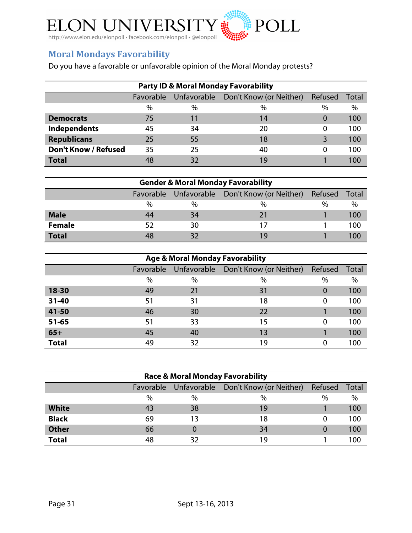

# **Moral Mondays Favorability**

Do you have a favorable or unfavorable opinion of the Moral Monday protests?

| <b>Party ID &amp; Moral Monday Favorability</b> |           |      |                                     |          |       |  |
|-------------------------------------------------|-----------|------|-------------------------------------|----------|-------|--|
|                                                 | Favorable |      | Unfavorable Don't Know (or Neither) | Refused  | Total |  |
|                                                 | $\%$      | $\%$ | $\%$                                | $\%$     | $\%$  |  |
| <b>Democrats</b>                                | 75        | 11   | 14                                  | 0        | 100   |  |
| Independents                                    | 45        | 34   | 20                                  | $\Omega$ | 100   |  |
| <b>Republicans</b>                              | 25        | 55   | 18                                  | 3        | 100   |  |
| <b>Don't Know / Refused</b>                     | 35        | 25   | 40                                  | O        | 100   |  |
| <b>Total</b>                                    | 48        | 32   | 19                                  |          | 100   |  |

| <b>Gender &amp; Moral Monday Favorability</b> |    |               |                                               |         |       |  |
|-----------------------------------------------|----|---------------|-----------------------------------------------|---------|-------|--|
|                                               |    |               | Favorable Unfavorable Don't Know (or Neither) | Refused | Total |  |
|                                               | %  | $\frac{0}{0}$ | $\frac{0}{0}$                                 | $\%$    | $\%$  |  |
| <b>Male</b>                                   | 44 | 34            | 21                                            |         | 100   |  |
| <b>Female</b>                                 | 52 | 30            |                                               |         | 100   |  |
| <b>Total</b>                                  | 48 | 32            | 19                                            |         | 100   |  |

| <b>Age &amp; Moral Monday Favorability</b> |           |    |                                     |          |       |  |
|--------------------------------------------|-----------|----|-------------------------------------|----------|-------|--|
|                                            | Favorable |    | Unfavorable Don't Know (or Neither) | Refused  | Total |  |
|                                            | %         | %  | $\%$                                | %        | %     |  |
| 18-30                                      | 49        | 21 | 31                                  | $\Omega$ | 100   |  |
| $31 - 40$                                  | 51        | 31 | 18                                  | $\Omega$ | 100   |  |
| 41-50                                      | 46        | 30 | 22                                  |          | 100   |  |
| $51 - 65$                                  | 51        | 33 | 15                                  | $\Omega$ | 100   |  |
| $65+$                                      | 45        | 40 | 13                                  |          | 100   |  |
| <b>Total</b>                               | 49        | 32 | 19                                  |          | 100   |  |

| <b>Race &amp; Moral Monday Favorability</b> |           |      |                                     |         |       |  |
|---------------------------------------------|-----------|------|-------------------------------------|---------|-------|--|
|                                             | Favorable |      | Unfavorable Don't Know (or Neither) | Refused | Total |  |
|                                             | %         | $\%$ | $\%$                                | $\%$    | %     |  |
| <b>White</b>                                | 43        | 38   | 19                                  |         | 100   |  |
| <b>Black</b>                                | 69        | 13   | 18                                  |         | 100   |  |
| <b>Other</b>                                | 66        |      | 34                                  |         | 100   |  |
| <b>Total</b>                                | 48        | 32   | 19                                  |         | 100   |  |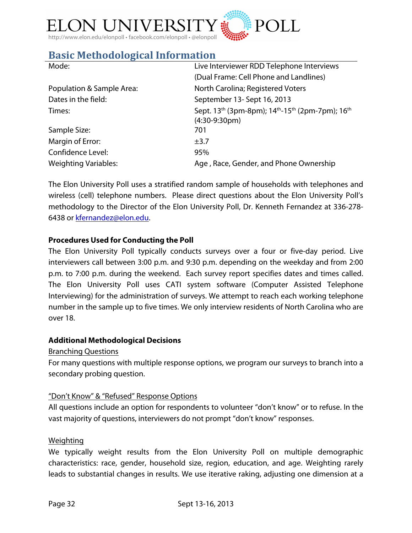

# **Basic Methodological Information**

| Live Interviewer RDD Telephone Interviews                                                        |
|--------------------------------------------------------------------------------------------------|
| (Dual Frame: Cell Phone and Landlines)                                                           |
| North Carolina; Registered Voters                                                                |
| September 13- Sept 16, 2013                                                                      |
| Sept. 13 <sup>th</sup> (3pm-8pm); 14 <sup>th</sup> -15 <sup>th</sup> (2pm-7pm); 16 <sup>th</sup> |
| $(4:30-9:30pm)$                                                                                  |
| 701                                                                                              |
| $\pm$ 3.7                                                                                        |
| 95%                                                                                              |
| Age, Race, Gender, and Phone Ownership                                                           |
|                                                                                                  |

The Elon University Poll uses a stratified random sample of households with telephones and wireless (cell) telephone numbers. Please direct questions about the Elon University Poll's methodology to the Director of the Elon University Poll, Dr. Kenneth Fernandez at 336-278- 6438 or kfernandez@elon.edu.

#### **Procedures Used for Conducting the Poll**

The Elon University Poll typically conducts surveys over a four or five-day period. Live interviewers call between 3:00 p.m. and 9:30 p.m. depending on the weekday and from 2:00 p.m. to 7:00 p.m. during the weekend. Each survey report specifies dates and times called. The Elon University Poll uses CATI system software (Computer Assisted Telephone Interviewing) for the administration of surveys. We attempt to reach each working telephone number in the sample up to five times. We only interview residents of North Carolina who are over 18.

#### **Additional Methodological Decisions**

#### Branching Questions

For many questions with multiple response options, we program our surveys to branch into a secondary probing question.

#### "Don't Know" & "Refused" Response Options

All questions include an option for respondents to volunteer "don't know" or to refuse. In the vast majority of questions, interviewers do not prompt "don't know" responses.

#### Weighting

We typically weight results from the Elon University Poll on multiple demographic characteristics: race, gender, household size, region, education, and age. Weighting rarely leads to substantial changes in results. We use iterative raking, adjusting one dimension at a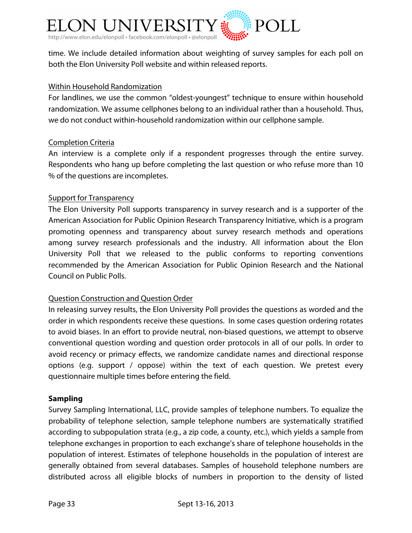

time. We include detailed information about weighting of survey samples for each poll on both the Elon University Poll website and within released reports.

#### Within Household Randomization

For landlines, we use the common "oldest-youngest" technique to ensure within household randomization. We assume cellphones belong to an individual rather than a household. Thus, we do not conduct within-household randomization within our cellphone sample.

#### Completion Criteria

An interview is a complete only if a respondent progresses through the entire survey. Respondents who hang up before completing the last question or who refuse more than 10 % of the questions are incompletes.

#### Support for Transparency

The Elon University Poll supports transparency in survey research and is a supporter of the American Association for Public Opinion Research Transparency Initiative, which is a program promoting openness and transparency about survey research methods and operations among survey research professionals and the industry. All information about the Elon University Poll that we released to the public conforms to reporting conventions recommended by the American Association for Public Opinion Research and the National Council on Public Polls.

#### Question Construction and Question Order

In releasing survey results, the Elon University Poll provides the questions as worded and the order in which respondents receive these questions. In some cases question ordering rotates to avoid biases. In an effort to provide neutral, non-biased questions, we attempt to observe conventional question wording and question order protocols in all of our polls. In order to avoid recency or primacy effects, we randomize candidate names and directional response options (e.g. support / oppose) within the text of each question. We pretest every questionnaire multiple times before entering the field.

#### **Sampling**

Survey Sampling International, LLC, provide samples of telephone numbers. To equalize the probability of telephone selection, sample telephone numbers are systematically stratified according to subpopulation strata (e.g., a zip code, a county, etc.), which yields a sample from telephone exchanges in proportion to each exchange's share of telephone households in the population of interest. Estimates of telephone households in the population of interest are generally obtained from several databases. Samples of household telephone numbers are distributed across all eligible blocks of numbers in proportion to the density of listed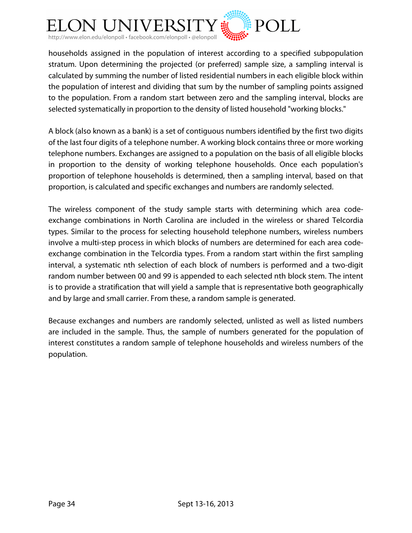

households assigned in the population of interest according to a specified subpopulation stratum. Upon determining the projected (or preferred) sample size, a sampling interval is calculated by summing the number of listed residential numbers in each eligible block within the population of interest and dividing that sum by the number of sampling points assigned to the population. From a random start between zero and the sampling interval, blocks are selected systematically in proportion to the density of listed household "working blocks."

A block (also known as a bank) is a set of contiguous numbers identified by the first two digits of the last four digits of a telephone number. A working block contains three or more working telephone numbers. Exchanges are assigned to a population on the basis of all eligible blocks in proportion to the density of working telephone households. Once each population's proportion of telephone households is determined, then a sampling interval, based on that proportion, is calculated and specific exchanges and numbers are randomly selected.

The wireless component of the study sample starts with determining which area codeexchange combinations in North Carolina are included in the wireless or shared Telcordia types. Similar to the process for selecting household telephone numbers, wireless numbers involve a multi-step process in which blocks of numbers are determined for each area codeexchange combination in the Telcordia types. From a random start within the first sampling interval, a systematic nth selection of each block of numbers is performed and a two-digit random number between 00 and 99 is appended to each selected nth block stem. The intent is to provide a stratification that will yield a sample that is representative both geographically and by large and small carrier. From these, a random sample is generated.

Because exchanges and numbers are randomly selected, unlisted as well as listed numbers are included in the sample. Thus, the sample of numbers generated for the population of interest constitutes a random sample of telephone households and wireless numbers of the population.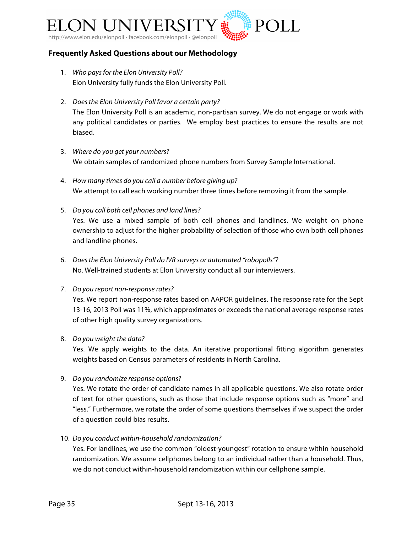

#### **Frequently Asked Questions about our Methodology**

- 1. *Who pays for the Elon University Poll?* Elon University fully funds the Elon University Poll.
- 2. *Does the Elon University Poll favor a certain party?* The Elon University Poll is an academic, non-partisan survey. We do not engage or work with any political candidates or parties. We employ best practices to ensure the results are not biased.
- 3. *Where do you get your numbers?* We obtain samples of randomized phone numbers from Survey Sample International.
- 4. *How many times do you call a number before giving up?* We attempt to call each working number three times before removing it from the sample.
- 5. *Do you call both cell phones and land lines?* Yes. We use a mixed sample of both cell phones and landlines. We weight on phone ownership to adjust for the higher probability of selection of those who own both cell phones and landline phones.
- 6. *Does the Elon University Poll do IVR surveys or automated "robopolls"?* No. Well-trained students at Elon University conduct all our interviewers.
- 7. *Do you report non-response rates?*

Yes. We report non-response rates based on AAPOR guidelines. The response rate for the Sept 13-16, 2013 Poll was 11%, which approximates or exceeds the national average response rates of other high quality survey organizations.

8. *Do you weight the data?*

Yes. We apply weights to the data. An iterative proportional fitting algorithm generates weights based on Census parameters of residents in North Carolina.

9. *Do you randomize response options?*

Yes. We rotate the order of candidate names in all applicable questions. We also rotate order of text for other questions, such as those that include response options such as "more" and "less." Furthermore, we rotate the order of some questions themselves if we suspect the order of a question could bias results.

10. *Do you conduct within-household randomization?*

Yes. For landlines, we use the common "oldest-youngest" rotation to ensure within household randomization. We assume cellphones belong to an individual rather than a household. Thus, we do not conduct within-household randomization within our cellphone sample.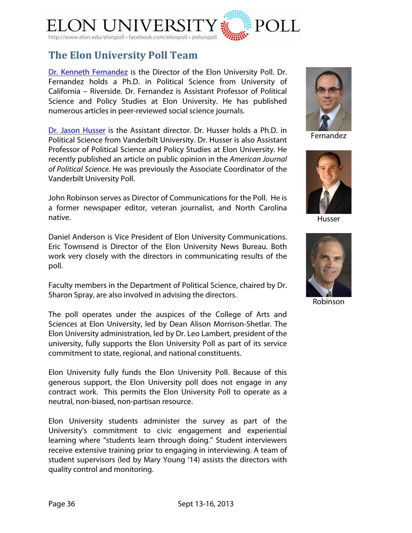

# **The Elon!University!Poll!Team**

Dr. Kenneth Fernandez is the Director of the Elon University Poll. Dr. Fernandez holds a Ph.D. in Political Science from University of California – Riverside. Dr. Fernandez is Assistant Professor of Political Science and Policy Studies at Elon University. He has published numerous articles in peer-reviewed social science journals.

Dr. Jason Husser is the Assistant director. Dr. Husser holds a Ph.D. in Political Science from Vanderbilt University. Dr. Husser is also Assistant Professor of Political Science and Policy Studies at Elon University. He recently published an article on public opinion in the *American Journal of Political Science.* He was previously the Associate Coordinator of the Vanderbilt University Poll.

John Robinson serves as Director of Communications for the Poll. He is a former newspaper editor, veteran journalist, and North Carolina native.

Daniel Anderson is Vice President of Elon University Communications. Eric Townsend is Director of the Elon University News Bureau. Both work very closely with the directors in communicating results of the poll.

Faculty members in the Department of Political Science, chaired by Dr. Sharon Spray, are also involved in advising the directors.

The poll operates under the auspices of the College of Arts and Sciences at Elon University, led by Dean Alison Morrison-Shetlar. The Elon University administration, led by Dr. Leo Lambert, president of the university, fully supports the Elon University Poll as part of its service commitment to state, regional, and national constituents.

Elon University fully funds the Elon University Poll. Because of this generous support, the Elon University poll does not engage in any contract work. This permits the Elon University Poll to operate as a neutral, non-biased, non-partisan resource.

Elon University students administer the survey as part of the University's commitment to civic engagement and experiential learning where "students learn through doing." Student interviewers receive extensive training prior to engaging in interviewing. A team of student supervisors (led by Mary Young '14) assists the directors with quality control and monitoring.



Fernandez



Husser



Robinson